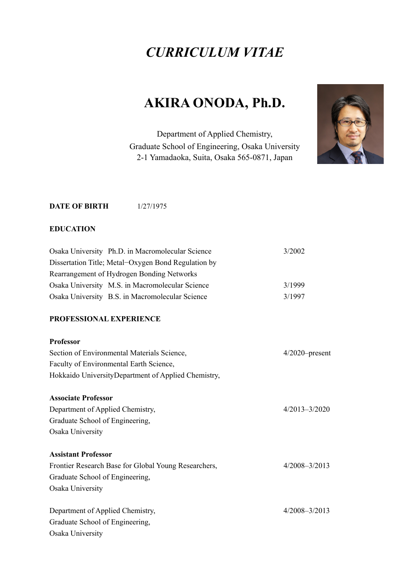## *CURRICULUM VITAE*

# **AKIRA ONODA, Ph.D.**

Department of Applied Chemistry, Graduate School of Engineering, Osaka University 2-1 Yamadaoka, Suita, Osaka 565-0871, Japan



## **DATE OF BIRTH 1/27/1975**

## **EDUCATION**

| Osaka University Ph.D. in Macromolecular Science     | 3/2002            |
|------------------------------------------------------|-------------------|
| Dissertation Title; Metal-Oxygen Bond Regulation by  |                   |
| Rearrangement of Hydrogen Bonding Networks           |                   |
| Osaka University M.S. in Macromolecular Science      | 3/1999            |
| Osaka University B.S. in Macromolecular Science      | 3/1997            |
| PROFESSIONAL EXPERIENCE                              |                   |
| <b>Professor</b>                                     |                   |
| Section of Environmental Materials Science,          | $4/2020$ -present |
| Faculty of Environmental Earth Science,              |                   |
| Hokkaido UniversityDepartment of Applied Chemistry,  |                   |
| <b>Associate Professor</b>                           |                   |
| Department of Applied Chemistry,                     | $4/2013 - 3/2020$ |
| Graduate School of Engineering,                      |                   |
| Osaka University                                     |                   |
| <b>Assistant Professor</b>                           |                   |
| Frontier Research Base for Global Young Researchers, | $4/2008 - 3/2013$ |
| Graduate School of Engineering,                      |                   |
| Osaka University                                     |                   |
| Department of Applied Chemistry,                     | $4/2008 - 3/2013$ |
| Graduate School of Engineering,                      |                   |
| Osaka University                                     |                   |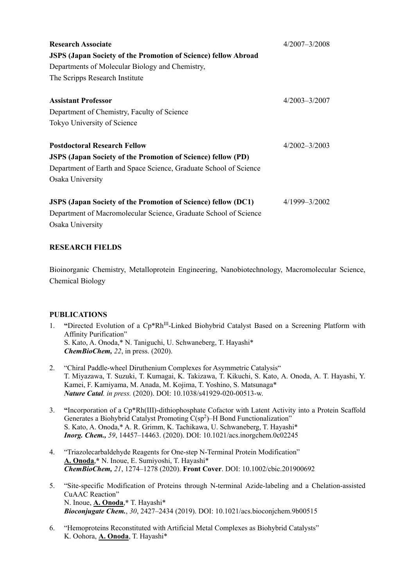| <b>Research Associate</b><br><b>JSPS (Japan Society of the Promotion of Science) fellow Abroad</b><br>Departments of Molecular Biology and Chemistry,<br>The Scripps Research Institute             | $4/2007 - 3/2008$ |
|-----------------------------------------------------------------------------------------------------------------------------------------------------------------------------------------------------|-------------------|
| <b>Assistant Professor</b><br>Department of Chemistry, Faculty of Science<br>Tokyo University of Science                                                                                            | $4/2003 - 3/2007$ |
| <b>Postdoctoral Research Fellow</b><br><b>JSPS (Japan Society of the Promotion of Science) fellow (PD)</b><br>Department of Earth and Space Science, Graduate School of Science<br>Osaka University | 4/2002-3/2003     |
| <b>JSPS</b> (Japan Society of the Promotion of Science) fellow (DC1)<br>Department of Macromolecular Science, Graduate School of Science<br>Osaka University                                        | 4/1999-3/2002     |

## **RESEARCH FIELDS**

Bioinorganic Chemistry, Metalloprotein Engineering, Nanobiotechnology, Macromolecular Science, Chemical Biology

### **PUBLICATIONS**

- 1. **"**Directed Evolution of a Cp\*RhIII-Linked Biohybrid Catalyst Based on a Screening Platform with Affinity Purification" S. Kato, A. Onoda,\* N. Taniguchi, U. Schwaneberg, T. Hayashi\* *ChemBioChem, 22*, in press. (2020).
- 2. "Chiral Paddle-wheel Diruthenium Complexes for Asymmetric Catalysis" T. Miyazawa, T. Suzuki, T. Kumagai, K. Takizawa, T. Kikuchi, S. Kato, A. Onoda, A. T. Hayashi, Y. Kamei, F. Kamiyama, M. Anada, M. Kojima, T. Yoshino, S. Matsunaga\* *Nature Catal. in press.* (2020). DOI: 10.1038/s41929-020-00513-w.
- 3. **"**Incorporation of a Cp\*Rh(III)-dithiophosphate Cofactor with Latent Activity into a Protein Scaffold Generates a Biohybrid Catalyst Promoting  $C(sp^2)$ –H Bond Functionalization" S. Kato, A. Onoda,\* A. R. Grimm, K. Tachikawa, U. Schwaneberg, T. Hayashi\* *Inorg. Chem., 59*, 14457–14463. (2020). DOI: 10.1021/acs.inorgchem.0c02245
- 4. "Triazolecarbaldehyde Reagents for One-step N-Terminal Protein Modification" **A. Onoda**,**\*** N. Inoue, E. Sumiyoshi, T. Hayashi\* *ChemBioChem, 21*, 1274–1278 (2020). **Front Cover**. DOI: 10.1002/cbic.201900692
- 5. "Site-specific Modification of Proteins through N-terminal Azide-labeling and a Chelation-assisted CuAAC Reaction" N. Inoue, **A. Onoda**,**\*** T. Hayashi\* *Bioconjugate Chem.*, *30*, 2427–2434 (2019). DOI: 10.1021/acs.bioconjchem.9b00515
- 6. "Hemoproteins Reconstituted with Artificial Metal Complexes as Biohybrid Catalysts" K. Oohora, **A. Onoda**, T. Hayashi\*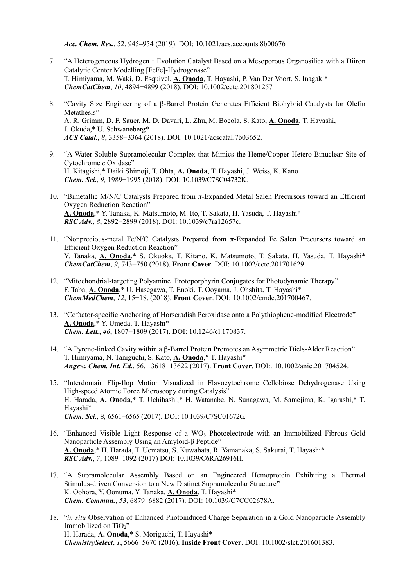*Acc. Chem. Res.*, 52, 945–954 (2019). DOI: 10.1021/acs.accounts.8b00676

- 7. "A Heterogeneous Hydrogen Evolution Catalyst Based on a Mesoporous Organosilica with a Diiron Catalytic Center Modelling [FeFe]-Hydrogenase" T. Himiyama, M. Waki, D. Esquivel, **A. Onoda**, T. Hayashi, P. Van Der Voort, S. Inagaki\* *ChemCatChem*, *10*, 4894−4899 (2018). DOI: 10.1002/cctc.201801257
- 8. "Cavity Size Engineering of a β-Barrel Protein Generates Efficient Biohybrid Catalysts for Olefin Metathesis" A. R. Grimm, D. F. Sauer, M. D. Davari, L. Zhu, M. Bocola, S. Kato, **A. Onoda**, T. Hayashi, J. Okuda,\* U. Schwaneberg\* *ACS Catal.*, *8*, 3358−3364 (2018). DOI: 10.1021/acscatal.7b03652.
- 9. "A Water-Soluble Supramolecular Complex that Mimics the Heme/Copper Hetero-Binuclear Site of Cytochrome *c* Oxidase" H. Kitagishi,\* Daiki Shimoji, T. Ohta, **A. Onoda**, T. Hayashi, J. Weiss, K. Kano *Chem. Sci.*, *9,* 1989−1995 (2018). DOI: 10.1039/C7SC04732K.
- 10. "Bimetallic M/N/C Catalysts Prepared from π-Expanded Metal Salen Precursors toward an Efficient Oxygen Reduction Reaction" **A. Onoda**,\* Y. Tanaka, K. Matsumoto, M. Ito, T. Sakata, H. Yasuda, T. Hayashi\* *RSC Adv.*, *8*, 2892−2899 (2018). DOI: 10.1039/c7ra12657c.
- 11. "Nonprecious-metal Fe/N/C Catalysts Prepared from  $\pi$ -Expanded Fe Salen Precursors toward an Efficient Oxygen Reduction Reaction" Y. Tanaka, **A. Onoda**,\* S. Okuoka, T. Kitano, K. Matsumoto, T. Sakata, H. Yasuda, T. Hayashi\* *ChemCatChem*, *9*, 743−750 (2018). **Front Cover**. DOI: 10.1002/cctc.201701629.
- 12. "Mitochondrial-targeting Polyamine−Protoporphyrin Conjugates for Photodynamic Therapy" F. Taba, **A. Onoda**,\* U. Hasegawa, T. Enoki, T. Ooyama, J. Ohshita, T. Hayashi\* *ChemMedChem*, *12*, 15−18. (2018). **Front Cover**. DOI: 10.1002/cmdc.201700467.
- 13. "Cofactor-specific Anchoring of Horseradish Peroxidase onto a Polythiophene-modified Electrode" **A. Onoda**,\* Y. Umeda, T. Hayashi\* *Chem. Lett.*, *46*, 1807−1809 (2017). DOI: 10.1246/cl.170837.
- 14. "A Pyrene-linked Cavity within a  $\beta$ -Barrel Protein Promotes an Asymmetric Diels-Alder Reaction" T. Himiyama, N. Taniguchi, S. Kato, **A. Onoda**,\* T. Hayashi\* *Angew. Chem. Int. Ed.*, 56, 13618−13622 (2017). **Front Cover**. DOI:. 10.1002/anie.201704524.
- 15. "Interdomain Flip-flop Motion Visualized in Flavocytochrome Cellobiose Dehydrogenase Using High-speed Atomic Force Microscopy during Catalysis" H. Harada, **A. Onoda**,\* T. Uchihashi,\* H. Watanabe, N. Sunagawa, M. Samejima, K. Igarashi,\* T. Hayashi\* *Chem. Sci.*, *8,* 6561−6565 (2017). DOI: 10.1039/C7SC01672G.
- 16. "Enhanced Visible Light Response of a  $WO_3$  Photoelectrode with an Immobilized Fibrous Gold Nanoparticle Assembly Using an Amyloid-β Peptide" **A. Onoda**,\* H. Harada, T. Uematsu, S. Kuwabata, R. Yamanaka, S. Sakurai, T. Hayashi\* *RSC Adv.*, *7*, 1089–1092 (2017) DOI: 10.1039/C6RA26916H.
- 17. "A Supramolecular Assembly Based on an Engineered Hemoprotein Exhibiting a Thermal Stimulus-driven Conversion to a New Distinct Supramolecular Structure" K. Oohora, Y. Oonuma, Y. Tanaka, **A. Onoda**, T. Hayashi\* *Chem. Commun.*, *53*, 6879–6882 (2017). DOI: 10.1039/C7CC02678A.
- 18. "*in situ* Observation of Enhanced Photoinduced Charge Separation in a Gold Nanoparticle Assembly Immobilized on TiO<sub>2</sub>" H. Harada, **A. Onoda**,\* S. Moriguchi, T. Hayashi\* *ChemistrySelect*, *1*, 5666–5670 (2016). **Inside Front Cover**. DOI: 10.1002/slct.201601383.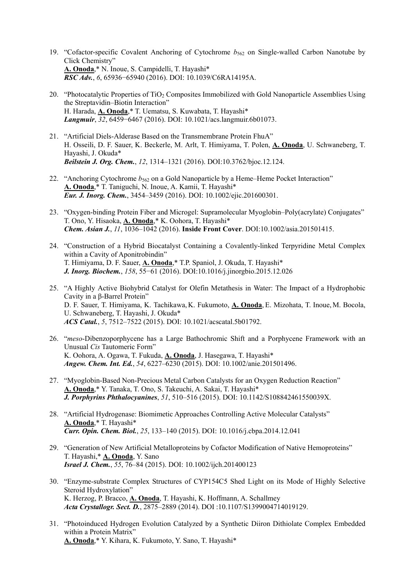- 19. "Cofactor-specific Covalent Anchoring of Cytochrome *b*562 on Single-walled Carbon Nanotube by Click Chemistry" **A. Onoda**,\* N. Inoue, S. Campidelli, T. Hayashi\* *RSC Adv.*, *6*, 65936−65940 (2016). DOI: 10.1039/C6RA14195A.
- 20. "Photocatalytic Properties of TiO2 Composites Immobilized with Gold Nanoparticle Assemblies Using the Streptavidin–Biotin Interaction" H. Harada, **A. Onoda**,\* T. Uematsu, S. Kuwabata, T. Hayashi\* *Langmuir*, *32*, 6459−6467 (2016). DOI: 10.1021/acs.langmuir.6b01073.
- 21. "Artificial Diels-Alderase Based on the Transmembrane Protein FhuA" H. Osseili, D. F. Sauer, K. Beckerle, M. Arlt, T. Himiyama, T. Polen, **A. Onoda**, U. Schwaneberg, T. Hayashi, J. Okuda\* *Beilstein J. Org. Chem.*, *12*, 1314–1321 (2016). DOI:10.3762/bjoc.12.124.
- 22. "Anchoring Cytochrome *b*562 on a Gold Nanoparticle by a Heme–Heme Pocket Interaction" **A. Onoda**,\* T. Taniguchi, N. Inoue, A. Kamii, T. Hayashi\* *Eur. J. Inorg. Chem.*, 3454–3459 (2016). DOI: 10.1002/ejic.201600301.
- 23. "Oxygen-binding Protein Fiber and Microgel: Supramolecular Myoglobin–Poly(acrylate) Conjugates" T. Ono, Y. Hisaoka, **A. Onoda**,\* K. Oohora, T. Hayashi\* *Chem. Asian J.*, *11*, 1036–1042 (2016). **Inside Front Cover**. DOI:10.1002/asia.201501415.
- 24. "Construction of a Hybrid Biocatalyst Containing a Covalently-linked Terpyridine Metal Complex within a Cavity of Aponitrobindin" T. Himiyama, D. F. Sauer, **A. Onoda**,\* T.P. Spaniol, J. Okuda, T. Hayashi\* *J. Inorg. Biochem.*, *158*, 55−61 (2016). DOI:10.1016/j.jinorgbio.2015.12.026
- 25. "A Highly Active Biohybrid Catalyst for Olefin Metathesis in Water: The Impact of a Hydrophobic Cavity in a β-Barrel Protein" D. F. Sauer, T. Himiyama, K. Tachikawa, K. Fukumoto, **A. Onoda**, E. Mizohata, T. Inoue, M. Bocola, U. Schwaneberg, T. Hayashi, J. Okuda\* *ACS Catal.*, *5*, 7512–7522 (2015). DOI: 10.1021/acscatal.5b01792.
- 26. "*meso*-Dibenzoporphycene has a Large Bathochromic Shift and a Porphycene Framework with an Unusual *Cis* Tautomeric Form" K. Oohora, A. Ogawa, T. Fukuda, **A. Onoda**, J. Hasegawa, T. Hayashi\* *Angew. Chem. Int. Ed.*, *54*, 6227–6230 (2015). DOI: 10.1002/anie.201501496.
- 27. "Myoglobin-Based Non-Precious Metal Carbon Catalysts for an Oxygen Reduction Reaction" **A. Onoda**,\* Y. Tanaka, T. Ono, S. Takeuchi, A. Sakai, T. Hayashi\* *J. Porphyrins Phthalocyanines*, *51*, 510–516 (2015). DOI: 10.1142/S108842461550039X.
- 28. "Artificial Hydrogenase: Biomimetic Approaches Controlling Active Molecular Catalysts" **A. Onoda**,\* T. Hayashi\* *Curr. Opin. Chem. Biol.*, *25*, 133–140 (2015). DOI: 10.1016/j.cbpa.2014.12.041
- 29. "Generation of New Artificial Metalloproteins by Cofactor Modification of Native Hemoproteins" T. Hayashi,\* **A. Onoda**, Y. Sano *Israel J. Chem.*, *55*, 76–84 (2015). DOI: 10.1002/ijch.201400123
- 30. "Enzyme-substrate Complex Structures of CYP154C5 Shed Light on its Mode of Highly Selective Steroid Hydroxylation" K. Herzog, P. Bracco, **A. Onoda**, T. Hayashi, K. Hoffmann, A. Schallmey *Acta Crystallogr. Sect. D.*, 2875–2889 (2014). DOI :10.1107/S1399004714019129.
- 31. "Photoinduced Hydrogen Evolution Catalyzed by a Synthetic Diiron Dithiolate Complex Embedded within a Protein Matrix" **A. Onoda**,\* Y. Kihara, K. Fukumoto, Y. Sano, T. Hayashi\*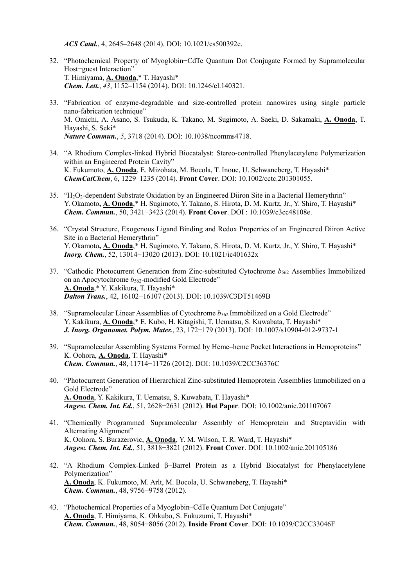*ACS Catal.*, 4, 2645–2648 (2014). DOI: 10.1021/cs500392e.

- 32. "Photochemical Property of Myoglobin−CdTe Quantum Dot Conjugate Formed by Supramolecular Host−guest Interaction" T. Himiyama, **A. Onoda**,\* T. Hayashi\* *Chem. Lett.*, *43*, 1152–1154 (2014). DOI: 10.1246/cl.140321.
- 33. "Fabrication of enzyme-degradable and size-controlled protein nanowires using single particle nano-fabrication technique" M. Omichi, A. Asano, S. Tsukuda, K. Takano, M. Sugimoto, A. Saeki, D. Sakamaki, **A. Onoda**, T. Hayashi, S. Seki\* *Nature Commun.*, *5*, 3718 (2014). DOI: 10.1038/ncomms4718.
- 34. "A Rhodium Complex-linked Hybrid Biocatalyst: Stereo-controlled Phenylacetylene Polymerization within an Engineered Protein Cavity" K. Fukumoto, **A. Onoda**, E. Mizohata, M. Bocola, T. Inoue, U. Schwaneberg, T. Hayashi\* *ChemCatChem*, 6, 1229–1235 (2014). **Front Cover**. DOI: 10.1002/cctc.201301055.
- 35. "H2O2-dependent Substrate Oxidation by an Engineered Diiron Site in a Bacterial Hemerythrin" Y. Okamoto**, A. Onoda**,\* H. Sugimoto, Y. Takano, S. Hirota, D. M. Kurtz, Jr., Y. Shiro, T. Hayashi\* *Chem. Commun.*, 50, 3421−3423 (2014). **Front Cover**. DOI : 10.1039/c3cc48108e.
- 36. "Crystal Structure, Exogenous Ligand Binding and Redox Properties of an Engineered Diiron Active Site in a Bacterial Hemerythrin" Y. Okamoto**, A. Onoda**,\* H. Sugimoto, Y. Takano, S. Hirota, D. M. Kurtz, Jr., Y. Shiro, T. Hayashi\* *Inorg. Chem.*, 52, 13014−13020 (2013). DOI: 10.1021/ic401632x
- 37. "Cathodic Photocurrent Generation from Zinc-substituted Cytochrome *b*562 Assemblies Immobilized on an Apocytochrome  $b_{562}$ -modified Gold Electrode" **A. Onoda**,\* Y. Kakikura, T. Hayashi\* *Dalton Trans.*, 42, 16102−16107 (2013). DOI: 10.1039/C3DT51469B
- 38. "Supramolecular Linear Assemblies of Cytochrome  $b_{562}$  Immobilized on a Gold Electrode" Y. Kakikura, **A. Onoda**,\* E. Kubo, H. Kitagishi, T. Uematsu, S. Kuwabata, T. Hayashi\* *J. Inorg. Organomet. Polym. Mater.*, 23, 172−179 (2013). DOI: 10.1007/s10904-012-9737-1
- 39. "Supramolecular Assembling Systems Formed by Heme–heme Pocket Interactions in Hemoproteins" K. Oohora, **A. Onoda**, T. Hayashi\* *Chem. Commun.*, 48, 11714−11726 (2012). DOI: 10.1039/C2CC36376C
- 40. "Photocurrent Generation of Hierarchical Zinc-substituted Hemoprotein Assemblies Immobilized on a Gold Electrode" **A. Onoda**, Y. Kakikura, T. Uematsu, S. Kuwabata, T. Hayashi\* *Angew. Chem. Int. Ed.*, 51, 2628−2631 (2012). **Hot Paper**. DOI: 10.1002/anie.201107067
- 41. "Chemically Programmed Supramolecular Assembly of Hemoprotein and Streptavidin with Alternating Alignment" K. Oohora, S. Burazerovic, **A. Onoda**, Y. M. Wilson, T. R. Ward, T. Hayashi\* *Angew. Chem. Int. Ed.*, 51, 3818−3821 (2012). **Front Cover**. DOI: 10.1002/anie.201105186
- 42. "A Rhodium Complex-Linked B-Barrel Protein as a Hybrid Biocatalyst for Phenylacetylene Polymerization" **A. Onoda**, K. Fukumoto, M. Arlt, M. Bocola, U. Schwaneberg, T. Hayashi\* *Chem. Commun.*, 48, 9756−9758 (2012).
- 43. "Photochemical Properties of a Myoglobin–CdTe Quantum Dot Conjugate" **A. Onoda**, T. Himiyama, K. Ohkubo, S. Fukuzumi, T. Hayashi\* *Chem. Commun.*, 48, 8054−8056 (2012). **Inside Front Cover**. DOI: 10.1039/C2CC33046F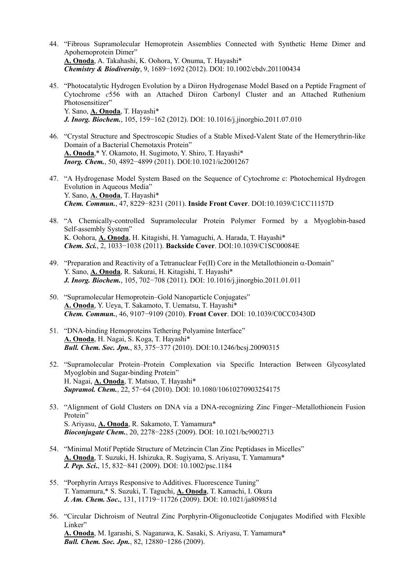- 44. "Fibrous Supramolecular Hemoprotein Assemblies Connected with Synthetic Heme Dimer and Apohemoprotein Dimer" **A. Onoda**, A. Takahashi, K. Oohora, Y. Onuma, T. Hayashi\* *Chemistry & Biodiversity*, 9, 1689−1692 (2012). DOI: 10.1002/cbdv.201100434
- 45. "Photocatalytic Hydrogen Evolution by a Diiron Hydrogenase Model Based on a Peptide Fragment of Cytochrome *c*556 with an Attached Diiron Carbonyl Cluster and an Attached Ruthenium Photosensitizer" Y. Sano, **A. Onoda**, T. Hayashi\* *J. Inorg. Biochem.*, 105, 159−162 (2012). DOI: 10.1016/j.jinorgbio.2011.07.010
- 46. "Crystal Structure and Spectroscopic Studies of a Stable Mixed-Valent State of the Hemerythrin-like Domain of a Bacterial Chemotaxis Protein" **A. Onoda**,\* Y. Okamoto, H. Sugimoto, Y. Shiro, T. Hayashi\* *Inorg. Chem.*, 50, 4892−4899 (2011). DOI:10.1021/ic2001267
- 47. "A Hydrogenase Model System Based on the Sequence of Cytochrome c: Photochemical Hydrogen Evolution in Aqueous Media" Y. Sano, **A. Onoda**, T. Hayashi\* *Chem. Commun.*, 47, 8229−8231 (2011). **Inside Front Cover**. DOI:10.1039/C1CC11157D
- 48. "A Chemically-controlled Supramolecular Protein Polymer Formed by a Myoglobin-based Self-assembly System" K. Oohora, **A. Onoda**, H. Kitagishi, H. Yamaguchi, A. Harada, T. Hayashi\* *Chem. Sci.*, 2, 1033−1038 (2011). **Backside Cover**. DOI:10.1039/C1SC00084E
- 49. "Preparation and Reactivity of a Tetranuclear Fe(II) Core in the Metallothionein  $\alpha$ -Domain" Y. Sano, **A. Onoda**, R. Sakurai, H. Kitagishi, T. Hayashi\* *J. Inorg. Biochem.*, 105, 702–708 (2011). DOI: 10.1016/j.jinorgbio.2011.01.011
- 50. "Supramolecular Hemoprotein–Gold Nanoparticle Conjugates" **A. Onoda**, Y. Ueya, T. Sakamoto, T. Uematsu, T. Hayashi\* *Chem. Commun.*, 46, 9107−9109 (2010). **Front Cover**. DOI: 10.1039/C0CC03430D
- 51. "DNA-binding Hemoproteins Tethering Polyamine Interface" **A. Onoda**, H. Nagai, S. Koga, T. Hayashi\* *Bull. Chem. Soc. Jpn.*, 83, 375−377 (2010). DOI:10.1246/bcsj.20090315
- 52. "Supramolecular Protein–Protein Complexation via Specific Interaction Between Glycosylated Myoglobin and Sugar-binding Protein" H. Nagai, **A. Onoda**, T. Matsuo, T. Hayashi\* *Supramol. Chem.*, 22, 57−64 (2010). DOI: 10.1080/10610270903254175
- 53. "Alignment of Gold Clusters on DNA via a DNA-recognizing Zinc Finger-Metallothionein Fusion Protein" S. Ariyasu, **A. Onoda**, R. Sakamoto, T. Yamamura\* *Bioconjugate Chem.*, 20, 2278−2285 (2009). DOI: 10.1021/bc9002713
- 54. "Minimal Motif Peptide Structure of Metzincin Clan Zinc Peptidases in Micelles" **A. Onoda**, T. Suzuki, H. Ishizuka, R. Sugiyama, S. Ariyasu, T. Yamamura\* *J. Pep. Sci***.**, 15, 832−841 (2009). DOI: 10.1002/psc.1184
- 55. "Porphyrin Arrays Responsive to Additives. Fluorescence Tuning" T. Yamamura,\* S. Suzuki, T. Taguchi, **A. Onoda**, T. Kamachi, I. Okura *J. Am. Chem. Soc***.**, 131, 11719−11726 (2009). DOI: 10.1021/ja809851d
- 56. "Circular Dichroism of Neutral Zinc Porphyrin-Oligonucleotide Conjugates Modified with Flexible Linker" **A. Onoda**, M. Igarashi, S. Naganawa, K. Sasaki, S. Ariyasu, T. Yamamura\* *Bull. Chem. Soc. Jpn.*, 82, 12880−1286 (2009).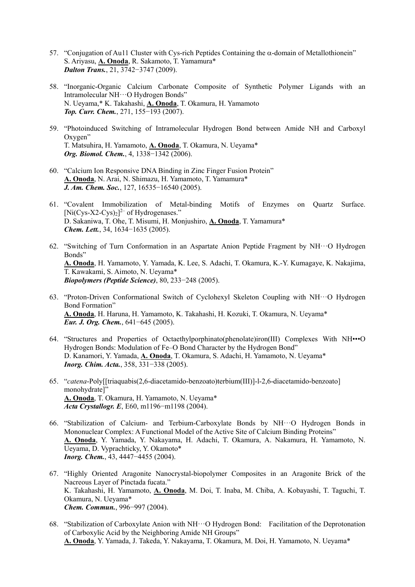- 57. "Conjugation of Au11 Cluster with Cys-rich Peptides Containing the  $\alpha$ -domain of Metallothionein" S. Ariyasu, **A. Onoda**, R. Sakamoto, T. Yamamura\* *Dalton Trans.*, 21, 3742−3747 (2009).
- 58. "Inorganic-Organic Calcium Carbonate Composite of Synthetic Polymer Ligands with an Intramolecular NH···O Hydrogen Bonds" N. Ueyama,\* K. Takahashi, **A. Onoda**, T. Okamura, H. Yamamoto *Top. Curr. Chem.*, 271, 155−193 (2007).
- 59. "Photoinduced Switching of Intramolecular Hydrogen Bond between Amide NH and Carboxyl Oxygen" T. Matsuhira, H. Yamamoto, **A. Onoda**, T. Okamura, N. Ueyama\* *Org. Biomol. Chem.*, 4, 1338−1342 (2006).
- 60. "Calcium Ion Responsive DNA Binding in Zinc Finger Fusion Protein" **A. Onoda**, N. Arai, N. Shimazu, H. Yamamoto, T. Yamamura\* *J. Am. Chem. Soc.*, 127, 16535−16540 (2005).
- 61. "Covalent Immobilization of Metal-binding Motifs of Enzymes on Quartz Surface.  $[Ni(Cys-X2-Cys)_2]^{2-}$  of Hydrogenases." D. Sakaniwa, T. Ohe, T. Misumi, H. Monjushiro, **A. Onoda**, T. Yamamura\* *Chem. Lett.*, 34, 1634−1635 (2005).
- 62. "Switching of Turn Conformation in an Aspartate Anion Peptide Fragment by NH···O Hydrogen Bonds" **A. Onoda**, H. Yamamoto, Y. Yamada, K. Lee, S. Adachi, T. Okamura, K.-Y. Kumagaye, K. Nakajima, T. Kawakami, S. Aimoto, N. Ueyama\* *Biopolymers (Peptide Science)*, 80, 233−248 (2005).
- 63. "Proton-Driven Conformational Switch of Cyclohexyl Skeleton Coupling with NH···O Hydrogen Bond Formation" **A. Onoda**, H. Haruna, H. Yamamoto, K. Takahashi, H. Kozuki, T. Okamura, N. Ueyama\* *Eur. J. Org. Chem.*, 641−645 (2005).
- 64. "Structures and Properties of Octaethylporphinato(phenolate)iron(III) Complexes With NH•••O Hydrogen Bonds: Modulation of Fe–O Bond Character by the Hydrogen Bond" D. Kanamori, Y. Yamada, **A. Onoda**, T. Okamura, S. Adachi, H. Yamamoto, N. Ueyama\* *Inorg. Chim. Acta.*, 358, 331−338 (2005).
- 65. "*catena*-Poly[[triaquabis(2,6-diacetamido-benzoato)terbium(III)]-l-2,6-diacetamido-benzoato] monohydrate]" **A. Onoda**, T. Okamura, H. Yamamoto, N. Ueyama\* *Acta Crystallogr. E*, E60, m1196−m1198 (2004).
- 66. "Stabilization of Calcium- and Terbium-Carboxylate Bonds by NH···O Hydrogen Bonds in Mononuclear Complex: A Functional Model of the Active Site of Calcium Binding Proteins" **A. Onoda**, Y. Yamada, Y. Nakayama, H. Adachi, T. Okamura, A. Nakamura, H. Yamamoto, N. Ueyama, D. Vyprachticky, Y. Okamoto\* *Inorg. Chem.*, 43, 4447–4455 (2004).
- 67. "Highly Oriented Aragonite Nanocrystal-biopolymer Composites in an Aragonite Brick of the Nacreous Layer of Pinctada fucata." K. Takahashi, H. Yamamoto, **A. Onoda**, M. Doi, T. Inaba, M. Chiba, A. Kobayashi, T. Taguchi, T. Okamura, N. Ueyama\* *Chem. Commun.*, 996−997 (2004).
- 68. "Stabilization of Carboxylate Anion with NH···O Hydrogen Bond: Facilitation of the Deprotonation of Carboxylic Acid by the Neighboring Amide NH Groups" **A. Onoda**, Y. Yamada, J. Takeda, Y. Nakayama, T. Okamura, M. Doi, H. Yamamoto, N. Ueyama\*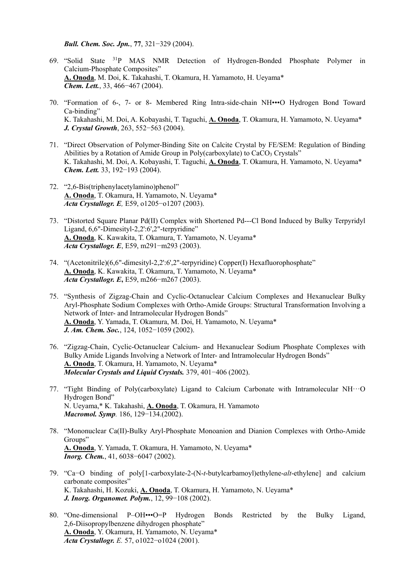*Bull. Chem. Soc. Jpn.*, **77**, 321−329 (2004).

- 69. "Solid State 31P MAS NMR Detection of Hydrogen-Bonded Phosphate Polymer in Calcium-Phosphate Composites" **A. Onoda**, M. Doi, K. Takahashi, T. Okamura, H. Yamamoto, H. Ueyama\* *Chem. Lett.*, 33, 466−467 (2004).
- 70. "Formation of 6-, 7- or 8- Membered Ring Intra-side-chain NH•••O Hydrogen Bond Toward Ca-binding" K. Takahashi, M. Doi, A. Kobayashi, T. Taguchi, **A. Onoda**, T. Okamura, H. Yamamoto, N. Ueyama\* *J. Crystal Growth*, 263, 552−563 (2004).
- 71. "Direct Observation of Polymer-Binding Site on Calcite Crystal by FE/SEM: Regulation of Binding Abilities by a Rotation of Amide Group in Poly(carboxylate) to CaCO<sub>3</sub> Crystals" K. Takahashi, M. Doi, A. Kobayashi, T. Taguchi, **A. Onoda**, T. Okamura, H. Yamamoto, N. Ueyama\* *Chem. Lett.* 33, 192−193 (2004).
- 72. "2,6-Bis(triphenylacetylamino)phenol" **A. Onoda**, T. Okamura, H. Yamamoto, N. Ueyama\* *Acta Crystallogr. E,* E59, o1205−o1207 (2003).
- 73. "Distorted Square Planar Pd(II) Complex with Shortened Pd---Cl Bond Induced by Bulky Terpyridyl Ligand, 6,6"-Dimesityl-2,2':6',2"-terpyridine" **A. Onoda**, K. Kawakita, T. Okamura, T. Yamamoto, N. Ueyama\* *Acta Crystallogr. E*, E59, m291−m293 (2003).
- 74. "(Acetonitrile)(6,6"-dimesityl-2,2':6',2"-terpyridine) Copper(I) Hexafluorophosphate" **A. Onoda**, K. Kawakita, T. Okamura, T. Yamamoto, N. Ueyama\* *Acta Crystallogr. E***,** E59, m266−m267 (2003).
- 75. "Synthesis of Zigzag-Chain and Cyclic-Octanuclear Calcium Complexes and Hexanuclear Bulky Aryl-Phosphate Sodium Complexes with Ortho-Amide Groups: Structural Transformation Involving a Network of Inter- and Intramolecular Hydrogen Bonds" **A. Onoda**, Y. Yamada, T. Okamura, M. Doi, H. Yamamoto, N. Ueyama\* *J. Am. Chem. Soc.*, 124, 1052−1059 (2002).
- 76. "Zigzag-Chain, Cyclic-Octanuclear Calcium- and Hexanuclear Sodium Phosphate Complexes with Bulky Amide Ligands Involving a Network of Inter- and Intramolecular Hydrogen Bonds" **A. Onoda**, T. Okamura, H. Yamamoto, N. Ueyama\* *Molecular Crystals and Liquid Crystals.* 379, 401−406 (2002).
- 77. "Tight Binding of Poly(carboxylate) Ligand to Calcium Carbonate with Intramolecular  $NH··O$ Hydrogen Bond" N. Ueyama,\* K. Takahashi, **A. Onoda**, T. Okamura, H. Yamamoto *Macromol. Symp.* 186, 129−134.(2002).
- 78. "Mononuclear Ca(II)-Bulky Aryl-Phosphate Monoanion and Dianion Complexes with Ortho-Amide Groups" **A. Onoda**, Y. Yamada, T. Okamura, H. Yamamoto, N. Ueyama\* *Inorg. Chem.*, 41, 6038−6047 (2002).
- 79. "Ca−O binding of poly[1-carboxylate-2-(N-*t*-butylcarbamoyl)ethylene-*alt*-ethylene] and calcium carbonate composites" K. Takahashi, H. Kozuki, **A. Onoda**, T. Okamura, H. Yamamoto, N. Ueyama\* *J. Inorg. Organomet. Polym.*, 12, 99−108 (2002).
- 80. "One-dimensional P–OH•••O=P Hydrogen Bonds Restricted by the Bulky Ligand, 2,6-Diisopropylbenzene dihydrogen phosphate" **A. Onoda**, Y. Okamura, H. Yamamoto, N. Ueyama\* *Acta Crystallogr. E.* 57, o1022−o1024 (2001).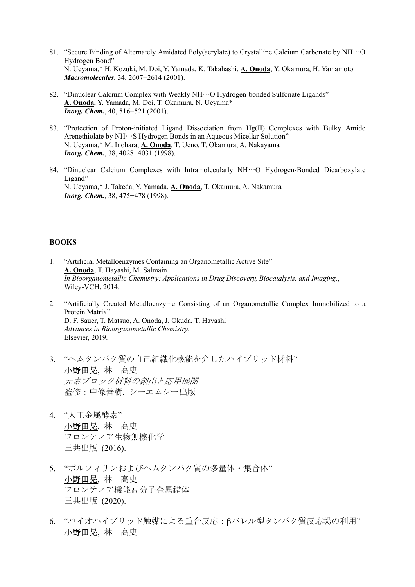- 81. "Secure Binding of Alternately Amidated Poly(acrylate) to Crystalline Calcium Carbonate by  $NH...O$ Hydrogen Bond" N. Ueyama,\* H. Kozuki, M. Doi, Y. Yamada, K. Takahashi, **A. Onoda**, Y. Okamura, H. Yamamoto *Macromolecules*, 34, 2607−2614 (2001).
- 82. "Dinuclear Calcium Complex with Weakly NH···O Hydrogen-bonded Sulfonate Ligands" **A. Onoda**, Y. Yamada, M. Doi, T. Okamura, N. Ueyama\* *Inorg. Chem.*, 40, 516−521 (2001).
- 83. "Protection of Proton-initiated Ligand Dissociation from Hg(II) Complexes with Bulky Amide Arenethiolate by NH···S Hydrogen Bonds in an Aqueous Micellar Solution" N. Ueyama,\* M. Inohara, **A. Onoda**, T. Ueno, T. Okamura, A. Nakayama *Inorg. Chem.*, 38, 4028−4031 (1998).
- 84. "Dinuclear Calcium Complexes with Intramolecularly NH···O Hydrogen-Bonded Dicarboxylate Ligand" N. Ueyama,\* J. Takeda, Y. Yamada, **A. Onoda**, T. Okamura, A. Nakamura *Inorg. Chem.*, 38, 475–478 (1998).

### **BOOKS**

- 1. "Artificial Metalloenzymes Containing an Organometallic Active Site" **A. Onoda**, T. Hayashi, M. Salmain *In Bioorganometallic Chemistry: Applications in Drug Discovery, Biocatalysis, and Imaging.*, Wiley-VCH, 2014.
- 2. "Artificially Created Metalloenzyme Consisting of an Organometallic Complex Immobilized to a Protein Matrix" D. F. Sauer, T. Matsuo, A. Onoda, J. Okuda, T. Hayashi *Advances in Bioorganometallic Chemistry*, Elsevier, 2019.
- 3. "ヘムタンパク質の自己組織化機能を介したハイブリッド材料" 小野田晃, 林 高史 元素ブロック材料の創出と応用展開 監修:中條善樹, シーエムシー出版
- 4. "人工金属酵素" 小野田晃, 林 高史 フロンティア生物無機化学 三共出版 (2016).
- 5. "ポルフィリンおよびヘムタンパク質の多量体・集合体" 小野田晃, 林 高史 フロンティア機能高分子金属錯体 三共出版 (2020).
- 6. "バイオハイブリッド触媒による重合反応:βバレル型タンパク質反応場の利用" 小野田晃, 林 高史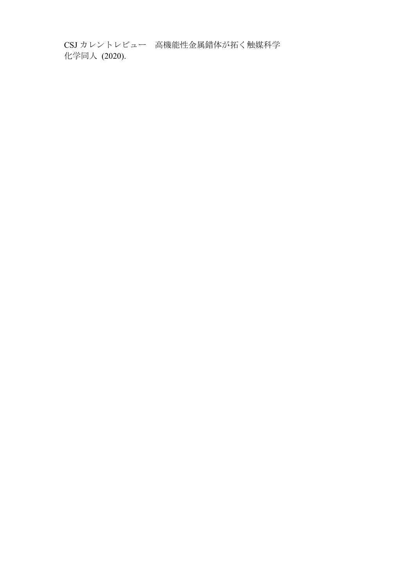CSJ カレントレビュー 高機能性金属錯体が拓く触媒科学 化学同人 (2020).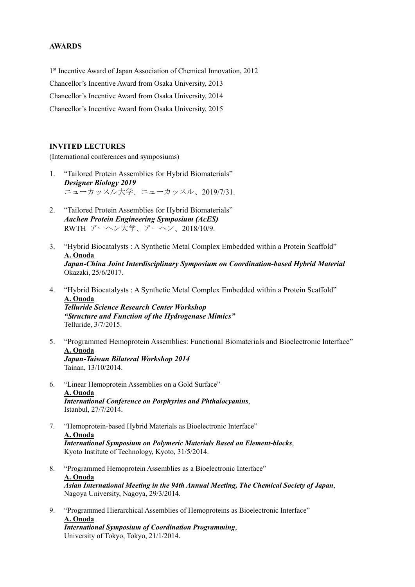## **AWARDS**

1<sup>st</sup> Incentive Award of Japan Association of Chemical Innovation, 2012 Chancellor's Incentive Award from Osaka University, 2013 Chancellor's Incentive Award from Osaka University, 2014 Chancellor's Incentive Award from Osaka University, 2015

#### **INVITED LECTURES**

(International conferences and symposiums)

- 1. "Tailored Protein Assemblies for Hybrid Biomaterials" *Designer Biology 2019*  ニューカッスル大学、ニューカッスル、2019/7/31.
- 2. "Tailored Protein Assemblies for Hybrid Biomaterials" *Aachen Protein Engineering Symposium (AcES)*  RWTH アーヘン大学、アーヘン、2018/10/9.
- 3. "Hybrid Biocatalysts : A Synthetic Metal Complex Embedded within a Protein Scaffold" **A. Onoda** *Japan-China Joint Interdisciplinary Symposium on Coordination-based Hybrid Material*  Okazaki, 25/6/2017.
- 4. "Hybrid Biocatalysts : A Synthetic Metal Complex Embedded within a Protein Scaffold" **A. Onoda**

*Telluride Science Research Center Workshop "Structure and Function of the Hydrogenase Mimics"*  Telluride, 3/7/2015.

- 5. "Programmed Hemoprotein Assemblies: Functional Biomaterials and Bioelectronic Interface" **A. Onoda** *Japan-Taiwan Bilateral Workshop 2014*  Tainan, 13/10/2014.
- 6. "Linear Hemoprotein Assemblies on a Gold Surface" **A. Onoda** *International Conference on Porphyrins and Phthalocyanins*, Istanbul, 27/7/2014.
- 7. "Hemoprotein-based Hybrid Materials as Bioelectronic Interface" **A. Onoda** *International Symposium on Polymeric Materials Based on Element-blocks*, Kyoto Institute of Technology, Kyoto, 31/5/2014.
- 8. "Programmed Hemoprotein Assemblies as a Bioelectronic Interface" **A. Onoda** *Asian International Meeting in the 94th Annual Meeting, The Chemical Society of Japan*, Nagoya University, Nagoya, 29/3/2014.
- 9. "Programmed Hierarchical Assemblies of Hemoproteins as Bioelectronic Interface" **A. Onoda** *International Symposium of Coordination Programming*,

University of Tokyo, Tokyo, 21/1/2014.